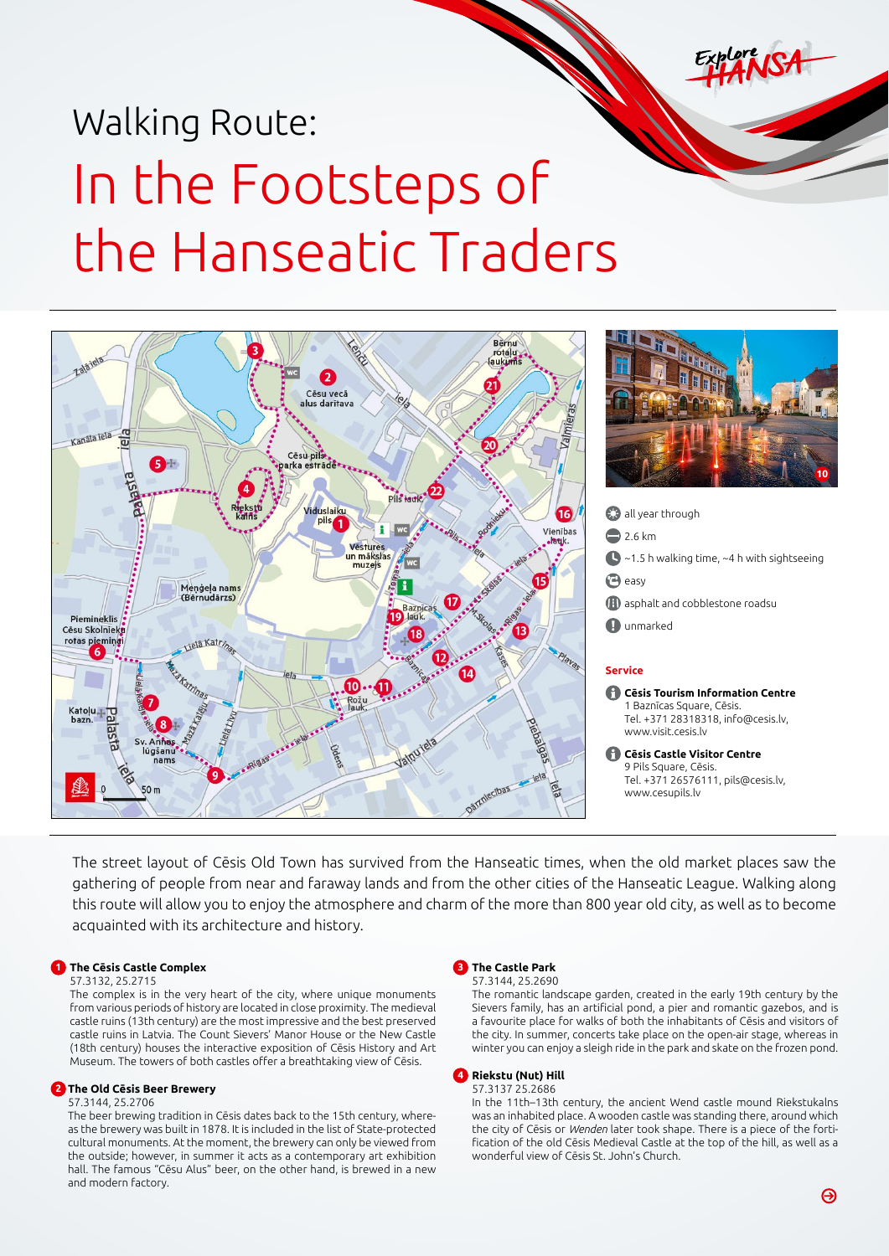# Walking Route: In the Footsteps of the Hanseatic Traders



The street layout of Cēsis Old Town has survived from the Hanseatic times, when the old market places saw the gathering of people from near and faraway lands and from the other cities of the Hanseatic League. Walking along this route will allow you to enjoy the atmosphere and charm of the more than 800 year old city, as well as to become acquainted with its architecture and history.

## **1 The Cēsis Castle Complex**

#### 57.3132, 25.2715

The complex is in the very heart of the city, where unique monuments from various periods of history are located in close proximity. The medieval castle ruins (13th century) are the most impressive and the best preserved castle ruins in Latvia. The Count Sievers' Manor House or the New Castle (18th century) houses the interactive exposition of Cēsis History and Art Museum. The towers of both castles offer a breathtaking view of Cēsis.

# **2 The Old Cēsis Beer Brewery**

# 57.3144, 25.2706

The beer brewing tradition in Cēsis dates back to the 15th century, whereas the brewery was built in 1878. It is included in the list of State-protected cultural monuments. At the moment, the brewery can only be viewed from the outside; however, in summer it acts as a contemporary art exhibition hall. The famous "Cēsu Alus" beer, on the other hand, is brewed in a new and modern factory.



The romantic landscape garden, created in the early 19th century by the Sievers family, has an artificial pond, a pier and romantic gazebos, and is a favourite place for walks of both the inhabitants of Cēsis and visitors of the city. In summer, concerts take place on the open-air stage, whereas in

winter you can enjoy a sleigh ride in the park and skate on the frozen pond.

#### **4 Riekstu (Nut) Hill** 57.3137 25.2686

In the 11th–13th century, the ancient Wend castle mound Riekstukalns was an inhabited place. A wooden castle was standing there, around which the city of Cēsis or *Wenden* later took shape. There is a piece of the fortification of the old Cēsis Medieval Castle at the top of the hill, as well as a wonderful view of Cēsis St. John's Church.